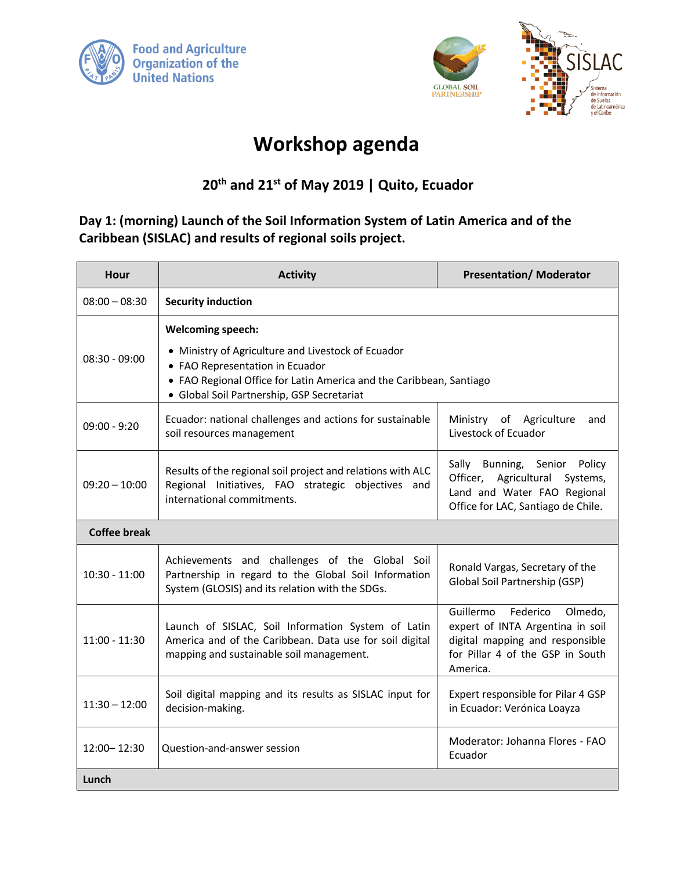



## **Workshop agenda**

**20th and 21st of May 2019 | Quito, Ecuador**

**Day 1: (morning) Launch of the Soil Information System of Latin America and of the Caribbean (SISLAC) and results of regional soils project.**

| <b>Hour</b>         | <b>Activity</b>                                                                                                                                                                                                                        | <b>Presentation/ Moderator</b>                                                                                                                          |
|---------------------|----------------------------------------------------------------------------------------------------------------------------------------------------------------------------------------------------------------------------------------|---------------------------------------------------------------------------------------------------------------------------------------------------------|
| $08:00 - 08:30$     | <b>Security induction</b>                                                                                                                                                                                                              |                                                                                                                                                         |
| $08:30 - 09:00$     | <b>Welcoming speech:</b><br>• Ministry of Agriculture and Livestock of Ecuador<br>• FAO Representation in Ecuador<br>• FAO Regional Office for Latin America and the Caribbean, Santiago<br>· Global Soil Partnership, GSP Secretariat |                                                                                                                                                         |
| $09:00 - 9:20$      | Ecuador: national challenges and actions for sustainable<br>soil resources management                                                                                                                                                  | Ministry of Agriculture<br>and<br>Livestock of Ecuador                                                                                                  |
| $09:20 - 10:00$     | Results of the regional soil project and relations with ALC<br>Regional Initiatives, FAO strategic objectives and<br>international commitments.                                                                                        | Sally Bunning, Senior Policy<br>Officer, Agricultural Systems,<br>Land and Water FAO Regional<br>Office for LAC, Santiago de Chile.                     |
| <b>Coffee break</b> |                                                                                                                                                                                                                                        |                                                                                                                                                         |
| $10:30 - 11:00$     | Achievements and challenges of the Global Soil<br>Partnership in regard to the Global Soil Information<br>System (GLOSIS) and its relation with the SDGs.                                                                              | Ronald Vargas, Secretary of the<br>Global Soil Partnership (GSP)                                                                                        |
| $11:00 - 11:30$     | Launch of SISLAC, Soil Information System of Latin<br>America and of the Caribbean. Data use for soil digital<br>mapping and sustainable soil management.                                                                              | Guillermo<br>Federico<br>Olmedo,<br>expert of INTA Argentina in soil<br>digital mapping and responsible<br>for Pillar 4 of the GSP in South<br>America. |
| $11:30 - 12:00$     | Soil digital mapping and its results as SISLAC input for<br>decision-making.                                                                                                                                                           | Expert responsible for Pilar 4 GSP<br>in Ecuador: Verónica Loayza                                                                                       |
| $12:00 - 12:30$     | Question-and-answer session                                                                                                                                                                                                            | Moderator: Johanna Flores - FAO<br>Ecuador                                                                                                              |
| Lunch               |                                                                                                                                                                                                                                        |                                                                                                                                                         |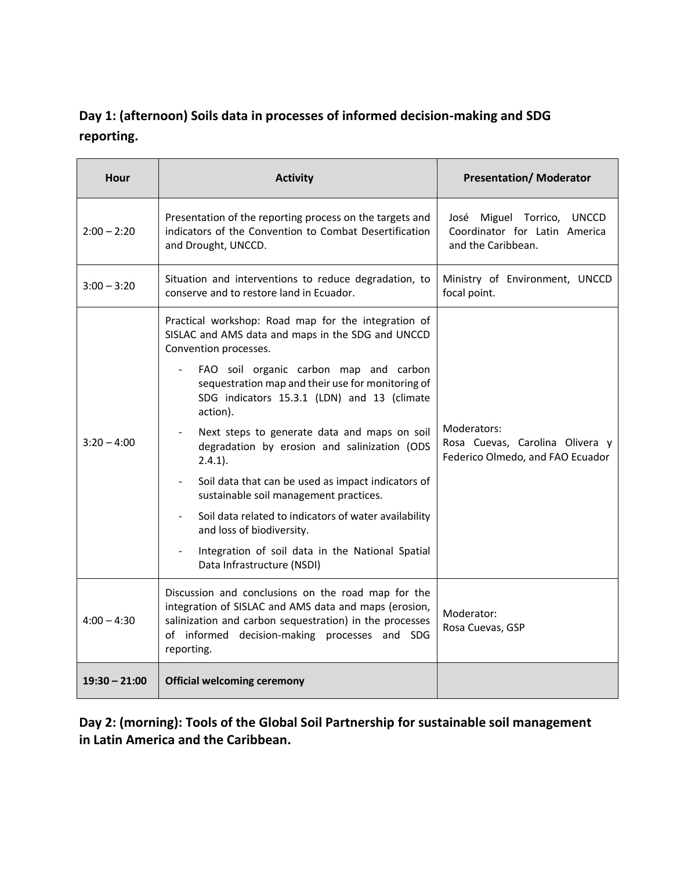## **Day 1: (afternoon) Soils data in processes of informed decision-making and SDG reporting.**

| <b>Hour</b>     | <b>Activity</b>                                                                                                                                                                                                                                                                                                                                                                                                                                                                                                                                                                                                                                                                                     | <b>Presentation/ Moderator</b>                                                     |
|-----------------|-----------------------------------------------------------------------------------------------------------------------------------------------------------------------------------------------------------------------------------------------------------------------------------------------------------------------------------------------------------------------------------------------------------------------------------------------------------------------------------------------------------------------------------------------------------------------------------------------------------------------------------------------------------------------------------------------------|------------------------------------------------------------------------------------|
| $2:00 - 2:20$   | Presentation of the reporting process on the targets and<br>indicators of the Convention to Combat Desertification<br>and Drought, UNCCD.                                                                                                                                                                                                                                                                                                                                                                                                                                                                                                                                                           | José Miguel Torrico, UNCCD<br>Coordinator for Latin America<br>and the Caribbean.  |
| $3:00 - 3:20$   | Situation and interventions to reduce degradation, to<br>conserve and to restore land in Ecuador.                                                                                                                                                                                                                                                                                                                                                                                                                                                                                                                                                                                                   | Ministry of Environment, UNCCD<br>focal point.                                     |
| $3:20 - 4:00$   | Practical workshop: Road map for the integration of<br>SISLAC and AMS data and maps in the SDG and UNCCD<br>Convention processes.<br>FAO soil organic carbon map and carbon<br>sequestration map and their use for monitoring of<br>SDG indicators 15.3.1 (LDN) and 13 (climate<br>action).<br>Next steps to generate data and maps on soil<br>degradation by erosion and salinization (ODS<br>$2.4.1$ ).<br>Soil data that can be used as impact indicators of<br>sustainable soil management practices.<br>Soil data related to indicators of water availability<br>and loss of biodiversity.<br>Integration of soil data in the National Spatial<br>$\blacksquare$<br>Data Infrastructure (NSDI) | Moderators:<br>Rosa Cuevas, Carolina Olivera y<br>Federico Olmedo, and FAO Ecuador |
| $4:00 - 4:30$   | Discussion and conclusions on the road map for the<br>integration of SISLAC and AMS data and maps (erosion,<br>salinization and carbon sequestration) in the processes<br>of informed decision-making processes and SDG<br>reporting.                                                                                                                                                                                                                                                                                                                                                                                                                                                               | Moderator:<br>Rosa Cuevas, GSP                                                     |
| $19:30 - 21:00$ | <b>Official welcoming ceremony</b>                                                                                                                                                                                                                                                                                                                                                                                                                                                                                                                                                                                                                                                                  |                                                                                    |

**Day 2: (morning): Tools of the Global Soil Partnership for sustainable soil management in Latin America and the Caribbean.**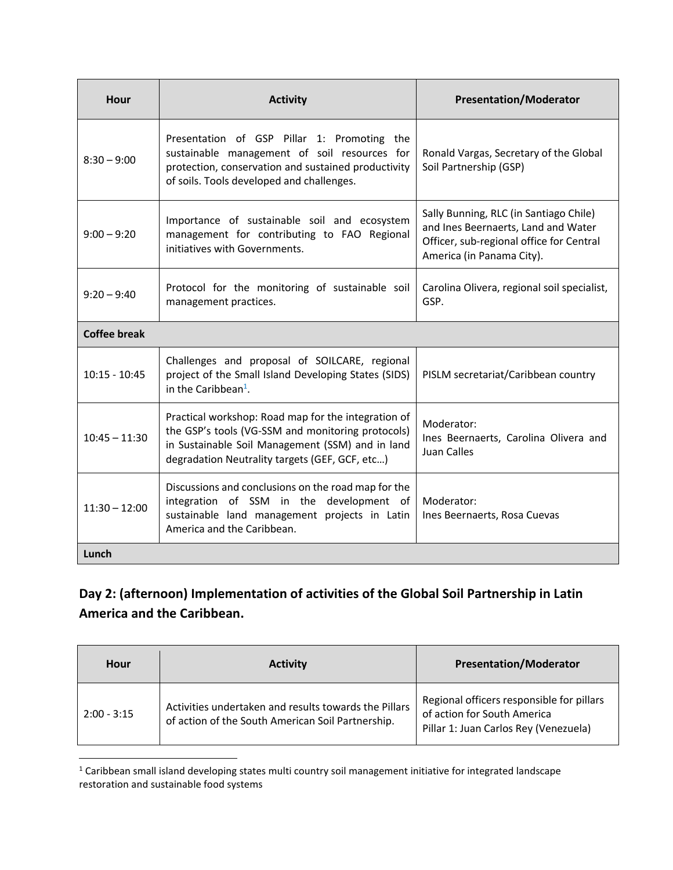| Hour                | <b>Activity</b>                                                                                                                                                                                                | <b>Presentation/Moderator</b>                                                                                                                          |
|---------------------|----------------------------------------------------------------------------------------------------------------------------------------------------------------------------------------------------------------|--------------------------------------------------------------------------------------------------------------------------------------------------------|
| $8:30 - 9:00$       | Presentation of GSP Pillar 1: Promoting the<br>sustainable management of soil resources for<br>protection, conservation and sustained productivity<br>of soils. Tools developed and challenges.                | Ronald Vargas, Secretary of the Global<br>Soil Partnership (GSP)                                                                                       |
| $9:00 - 9:20$       | Importance of sustainable soil and ecosystem<br>management for contributing to FAO Regional<br>initiatives with Governments.                                                                                   | Sally Bunning, RLC (in Santiago Chile)<br>and Ines Beernaerts, Land and Water<br>Officer, sub-regional office for Central<br>America (in Panama City). |
| $9:20 - 9:40$       | Protocol for the monitoring of sustainable soil<br>management practices.                                                                                                                                       | Carolina Olivera, regional soil specialist,<br>GSP.                                                                                                    |
| <b>Coffee break</b> |                                                                                                                                                                                                                |                                                                                                                                                        |
| $10:15 - 10:45$     | Challenges and proposal of SOILCARE, regional<br>project of the Small Island Developing States (SIDS)<br>in the Caribbean <sup>1</sup> .                                                                       | PISLM secretariat/Caribbean country                                                                                                                    |
| $10:45 - 11:30$     | Practical workshop: Road map for the integration of<br>the GSP's tools (VG-SSM and monitoring protocols)<br>in Sustainable Soil Management (SSM) and in land<br>degradation Neutrality targets (GEF, GCF, etc) | Moderator:<br>Ines Beernaerts, Carolina Olivera and<br>Juan Calles                                                                                     |
| $11:30 - 12:00$     | Discussions and conclusions on the road map for the<br>integration of SSM in the development of<br>sustainable land management projects in Latin<br>America and the Caribbean.                                 | Moderator:<br>Ines Beernaerts, Rosa Cuevas                                                                                                             |
| Lunch               |                                                                                                                                                                                                                |                                                                                                                                                        |

## **Day 2: (afternoon) Implementation of activities of the Global Soil Partnership in Latin America and the Caribbean.**

| Hour          | <b>Activity</b>                                                                                            | <b>Presentation/Moderator</b>                                                                                     |
|---------------|------------------------------------------------------------------------------------------------------------|-------------------------------------------------------------------------------------------------------------------|
| $2:00 - 3:15$ | Activities undertaken and results towards the Pillars<br>of action of the South American Soil Partnership. | Regional officers responsible for pillars<br>of action for South America<br>Pillar 1: Juan Carlos Rey (Venezuela) |

<sup>&</sup>lt;sup>1</sup> Caribbean small island developing states multi country soil management initiative for integrated landscape restoration and sustainable food systems

l